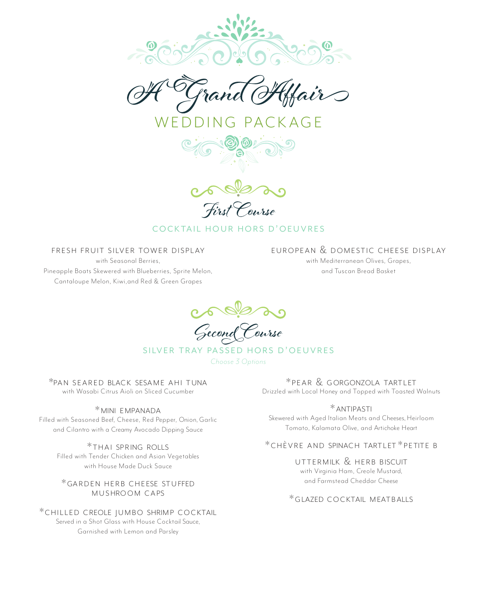

 $ACKAGF$ 





# COCKTAIL HOUR HORS D'OFUVRES

FRESH FRUIT SILVER TOWER DISPLAY

with Seasonal Berries, Pineapple Boats Skewered with Blueberries, Sprite Melon, Cantaloupe Melon, Kiwi,and Red & Green Grapes

EUROPEAN & DOMESTIC CHEESE DISPLAY with Mediterranean Olives, Grapes,

and Tuscan Bread Basket

Gecond Course

SILVER TRAY PASSED HORS D'OEUVRES

*Choose 3 Options*

\*PAN SFARED BLACK SESAME AHI TUNA with Wasabi Citrus Aioli on Sliced Cucumber

\* MINI EMPANADA

Filled with Seasoned Beef, Cheese, Red Pepper, Onion, Garlic and Cilantro with a Creamy Avocado Dipping Sauce

> \*THAI SPRING ROLLS Filled with Tender Chicken and Asian Vegetables with House Made Duck Sauce

\*GARDEN HERB CHEESE STUFFED **MUSHROOM CAPS** 

\*CHILLED CREOLE | UMBO SHRIMP COCKTAIL Served in a Shot Glass with House Cocktail Sauce, Garnished with Lemon and Parsley

\* PEAR & GORGONZOLA TARTLET Drizzled with Local Honey and Topped with Toasted Walnuts

\* ANTIPASTI Skewered with Aged Italian Meats and Cheeses, Heirloom Tomato, Kalamata Olive, and Artichoke Heart

## \* CHÈVRE AND SPINACH TARTLET \* PETITE B

UTTERMILK & HERB BISCUIT

with Virginia Ham, Creole Mustard, and Farmstead Cheddar Cheese

\*GLAZED COCKTAIL MEATBALLS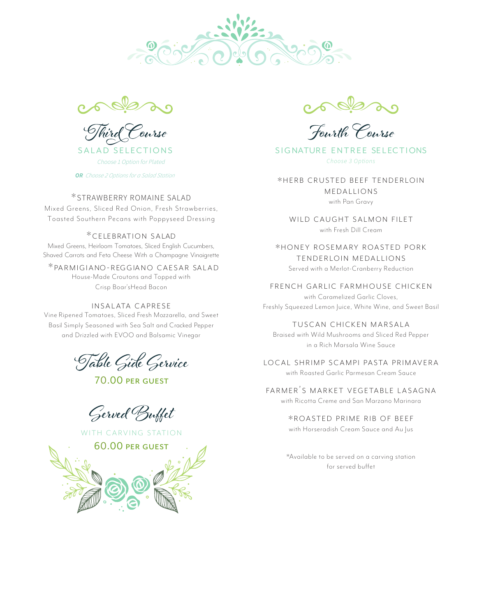



Choose <sup>1</sup> Option for Plated

*OR Choose <sup>2</sup> Optionsfor <sup>a</sup> Salad Station*

### \* STRAWBERRY ROMAINE SALAD

Mixed Greens, Sliced Red Onion, Fresh Strawberries, Toasted Southern Pecans with Poppyseed Dressing

#### \*CELEBRATION SALAD

Mixed Greens, Heirloom Tomatoes, Sliced English Cucumbers, Shaved Carrots and Feta Cheese With a Champagne Vinaigrette

\*PARMIGIANO-REGGIANO CAESAR SALAD House-Made Croutons and Topped with Crisp Boar'sHead Bacon

#### INSALATA CAPRESE

Vine Ripened Tomatoes, Sliced Fresh Mozzarella, and Sweet Basil Simply Seasoned with Sea Salt and Cracked Pepper and Drizzled with EVOO and Balsamic Vinegar

Table Gide Gervice

70.00

Gerved Buffet



Fourth Course

SALAD SELECTIONS SIGNATURE ENTREE SELECTIONS *Choose 3 Options*

> \*HERB CRUSTED BEEF TENDERLOIN MEDALLIONS

> > with Pan Gravy

WILD CAUGHT SALMON FILET with Fresh Dill Cream

\*HONEY ROSEMARY ROASTED PORK TENDERLOIN MEDALLIONS Served with a Merlot-Cranberry Reduction

FRENCH GARLIC FARMHOUSE CHICKEN

with Caramelized Garlic Cloves, Freshly Squeezed Lemon Juice, White Wine, and Sweet Basil

TUSCAN CHICKEN MARSALA Braised with Wild Mushrooms and Sliced Red Pepper

in a Rich Marsala Wine Sauce

LOCAL SHRIMP SCAMPI PASTA PRIMAVERA with Roasted Garlic Parmesan Cream Sauce

FARMER'S MARKET VEGETABLE LASAGNA with Ricotta Creme and San Marzano Marinara

\*ROASTED PRIME RIB OF BEEF

with Horseradish Cream Sauce and Au Jus

\*Available to be served on a carving station for served buffet